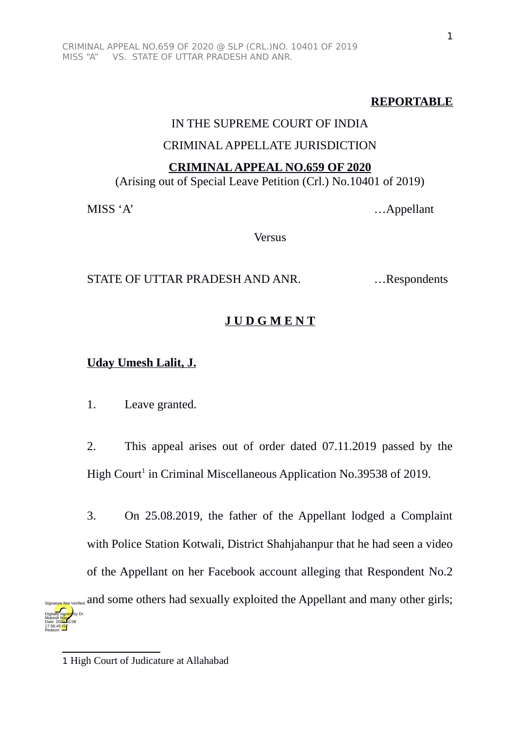## **REPORTABLE**

### IN THE SUPREME COURT OF INDIA

### CRIMINAL APPELLATE JURISDICTION

#### **CRIMINAL APPEAL NO.659 OF 2020**

(Arising out of Special Leave Petition (Crl.) No.10401 of 2019)

MISS 'A' …Appellant

Versus

### STATE OF UTTAR PRADESH AND ANR. ... Respondents

# **J U D G M E N T**

## **Uday Umesh Lalit, J.**

1. Leave granted.

2. This appeal arises out of order dated 07.11.2019 passed by the High Court<sup>[1](#page-0-0)</sup> in Criminal Miscellaneous Application No.39538 of 2019.

3. On 25.08.2019, the father of the Appellant lodged a Complaint with Police Station Kotwali, District Shahjahanpur that he had seen a video of the Appellant on her Facebook account alleging that Respondent No.2 Signature Not Verified</sub> and some others had sexually exploited the Appellant and many other girls; Digitally signed by Dr. Mukesh Masa Date: 2020.10.08 17:56:45<sup>1ST</sup>

Reason:

<span id="page-0-0"></span><sup>1</sup> High Court of Judicature at Allahabad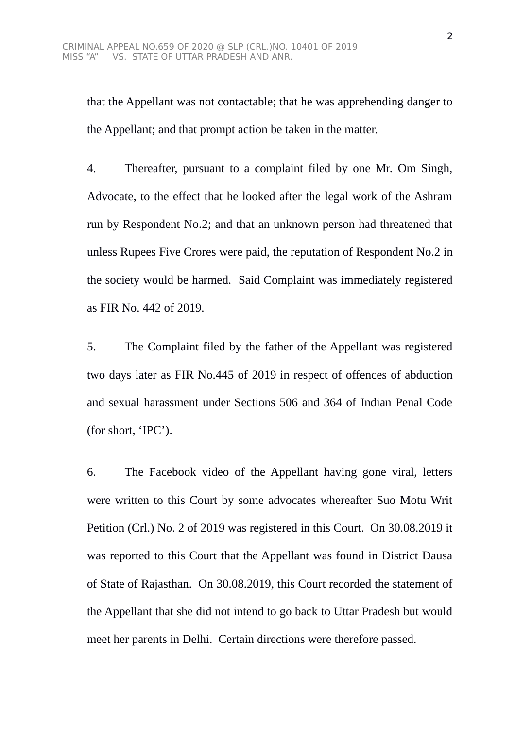that the Appellant was not contactable; that he was apprehending danger to the Appellant; and that prompt action be taken in the matter.

4. Thereafter, pursuant to a complaint filed by one Mr. Om Singh, Advocate, to the effect that he looked after the legal work of the Ashram run by Respondent No.2; and that an unknown person had threatened that unless Rupees Five Crores were paid, the reputation of Respondent No.2 in the society would be harmed. Said Complaint was immediately registered as FIR No. 442 of 2019.

5. The Complaint filed by the father of the Appellant was registered two days later as FIR No.445 of 2019 in respect of offences of abduction and sexual harassment under Sections 506 and 364 of Indian Penal Code (for short, 'IPC').

6. The Facebook video of the Appellant having gone viral, letters were written to this Court by some advocates whereafter Suo Motu Writ Petition (Crl.) No. 2 of 2019 was registered in this Court. On 30.08.2019 it was reported to this Court that the Appellant was found in District Dausa of State of Rajasthan. On 30.08.2019, this Court recorded the statement of the Appellant that she did not intend to go back to Uttar Pradesh but would meet her parents in Delhi. Certain directions were therefore passed.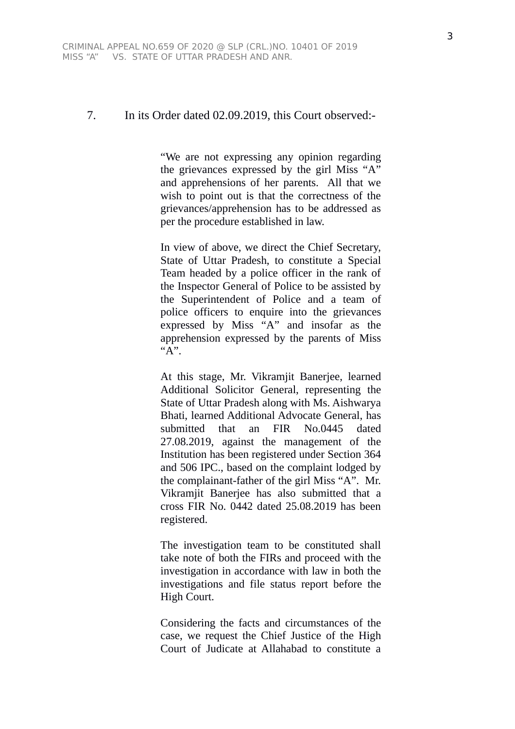#### 7. In its Order dated 02.09.2019, this Court observed:-

"We are not expressing any opinion regarding the grievances expressed by the girl Miss "A" and apprehensions of her parents. All that we wish to point out is that the correctness of the grievances/apprehension has to be addressed as per the procedure established in law.

In view of above, we direct the Chief Secretary, State of Uttar Pradesh, to constitute a Special Team headed by a police officer in the rank of the Inspector General of Police to be assisted by the Superintendent of Police and a team of police officers to enquire into the grievances expressed by Miss "A" and insofar as the apprehension expressed by the parents of Miss "A".

At this stage, Mr. Vikramjit Banerjee, learned Additional Solicitor General, representing the State of Uttar Pradesh along with Ms. Aishwarya Bhati, learned Additional Advocate General, has submitted that an FIR No.0445 dated 27.08.2019, against the management of the Institution has been registered under Section 364 and 506 IPC., based on the complaint lodged by the complainant-father of the girl Miss "A". Mr. Vikramjit Banerjee has also submitted that a cross FIR No. 0442 dated 25.08.2019 has been registered.

The investigation team to be constituted shall take note of both the FIRs and proceed with the investigation in accordance with law in both the investigations and file status report before the High Court.

Considering the facts and circumstances of the case, we request the Chief Justice of the High Court of Judicate at Allahabad to constitute a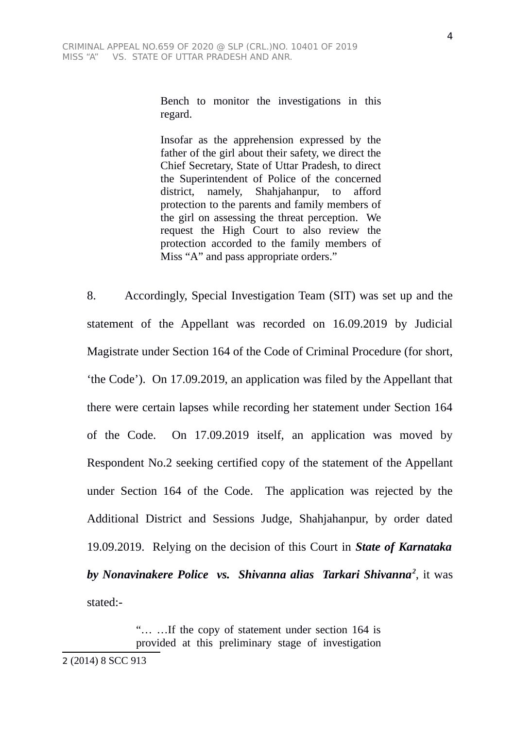Bench to monitor the investigations in this regard.

Insofar as the apprehension expressed by the father of the girl about their safety, we direct the Chief Secretary, State of Uttar Pradesh, to direct the Superintendent of Police of the concerned district, namely, Shahjahanpur, to afford protection to the parents and family members of the girl on assessing the threat perception. We request the High Court to also review the protection accorded to the family members of Miss "A" and pass appropriate orders."

8. Accordingly, Special Investigation Team (SIT) was set up and the statement of the Appellant was recorded on 16.09.2019 by Judicial Magistrate under Section 164 of the Code of Criminal Procedure (for short, 'the Code'). On 17.09.2019, an application was filed by the Appellant that there were certain lapses while recording her statement under Section 164 of the Code. On 17.09.2019 itself, an application was moved by Respondent No.2 seeking certified copy of the statement of the Appellant under Section 164 of the Code. The application was rejected by the Additional District and Sessions Judge, Shahjahanpur, by order dated 19.09.2019. Relying on the decision of this Court in *State of Karnataka by Nonavinakere Police vs. Shivanna alias Tarkari Shivanna[2](#page-3-0)* , it was stated:-

> "… …If the copy of statement under section 164 is provided at this preliminary stage of investigation

<span id="page-3-0"></span><sup>2</sup> (2014) 8 SCC 913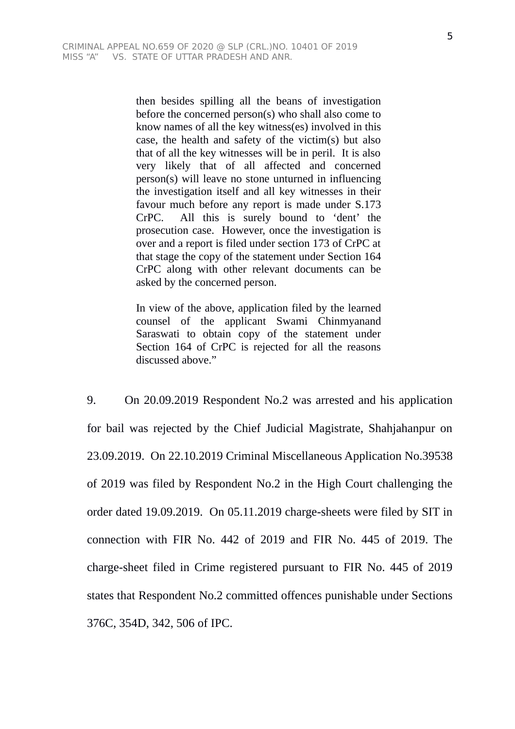then besides spilling all the beans of investigation before the concerned person(s) who shall also come to know names of all the key witness(es) involved in this case, the health and safety of the victim(s) but also that of all the key witnesses will be in peril. It is also very likely that of all affected and concerned person(s) will leave no stone unturned in influencing the investigation itself and all key witnesses in their favour much before any report is made under S.173 CrPC. All this is surely bound to 'dent' the prosecution case. However, once the investigation is over and a report is filed under section 173 of CrPC at that stage the copy of the statement under Section 164 CrPC along with other relevant documents can be asked by the concerned person.

In view of the above, application filed by the learned counsel of the applicant Swami Chinmyanand Saraswati to obtain copy of the statement under Section 164 of CrPC is rejected for all the reasons discussed above."

9. On 20.09.2019 Respondent No.2 was arrested and his application for bail was rejected by the Chief Judicial Magistrate, Shahjahanpur on 23.09.2019. On 22.10.2019 Criminal Miscellaneous Application No.39538 of 2019 was filed by Respondent No.2 in the High Court challenging the order dated 19.09.2019. On 05.11.2019 charge-sheets were filed by SIT in connection with FIR No. 442 of 2019 and FIR No. 445 of 2019. The charge-sheet filed in Crime registered pursuant to FIR No. 445 of 2019 states that Respondent No.2 committed offences punishable under Sections 376C, 354D, 342, 506 of IPC.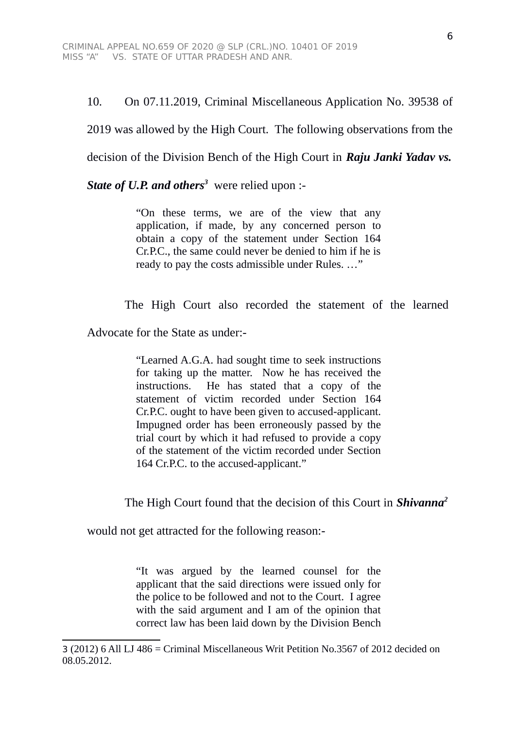10. On 07.11.2019, Criminal Miscellaneous Application No. 39538 of

2019 was allowed by the High Court. The following observations from the

decision of the Division Bench of the High Court in *Raju Janki Yadav vs.*

*State of U.P. and others[3](#page-5-0)* were relied upon :-

"On these terms, we are of the view that any application, if made, by any concerned person to obtain a copy of the statement under Section 164 Cr.P.C., the same could never be denied to him if he is ready to pay the costs admissible under Rules. …"

The High Court also recorded the statement of the learned

Advocate for the State as under:-

"Learned A.G.A. had sought time to seek instructions for taking up the matter. Now he has received the instructions. He has stated that a copy of the statement of victim recorded under Section 164 Cr.P.C. ought to have been given to accused-applicant. Impugned order has been erroneously passed by the trial court by which it had refused to provide a copy of the statement of the victim recorded under Section 164 Cr.P.C. to the accused-applicant."

The High Court found that the decision of this Court in *Shivanna<sup>2</sup>*

would not get attracted for the following reason:-

"It was argued by the learned counsel for the applicant that the said directions were issued only for the police to be followed and not to the Court. I agree with the said argument and I am of the opinion that correct law has been laid down by the Division Bench

<span id="page-5-0"></span><sup>3</sup> (2012) 6 All LJ 486 = Criminal Miscellaneous Writ Petition No.3567 of 2012 decided on 08.05.2012.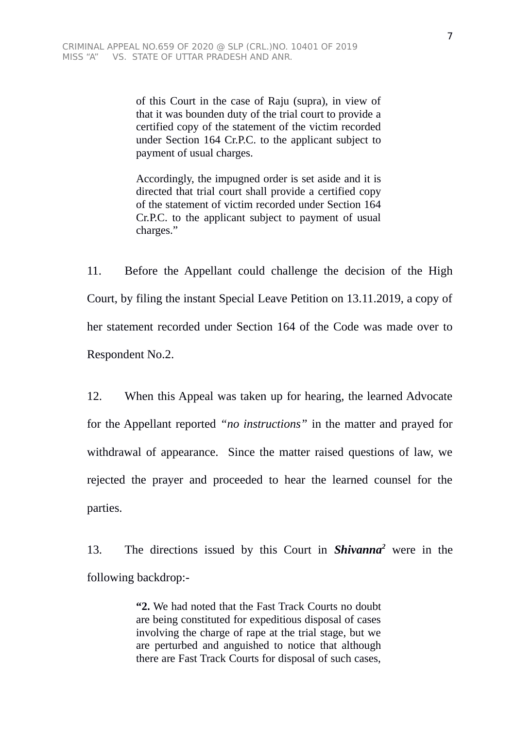of this Court in the case of Raju (supra), in view of that it was bounden duty of the trial court to provide a certified copy of the statement of the victim recorded under Section 164 Cr.P.C. to the applicant subject to payment of usual charges.

Accordingly, the impugned order is set aside and it is directed that trial court shall provide a certified copy of the statement of victim recorded under Section 164 Cr.P.C. to the applicant subject to payment of usual charges."

11. Before the Appellant could challenge the decision of the High Court, by filing the instant Special Leave Petition on 13.11.2019, a copy of her statement recorded under Section 164 of the Code was made over to Respondent No.2.

12. When this Appeal was taken up for hearing, the learned Advocate for the Appellant reported *"no instructions"* in the matter and prayed for withdrawal of appearance. Since the matter raised questions of law, we rejected the prayer and proceeded to hear the learned counsel for the parties.

13. The directions issued by this Court in *Shivanna<sup>2</sup>* were in the following backdrop:-

> **"2.** We had noted that the Fast Track Courts no doubt are being constituted for expeditious disposal of cases involving the charge of rape at the trial stage, but we are perturbed and anguished to notice that although there are Fast Track Courts for disposal of such cases,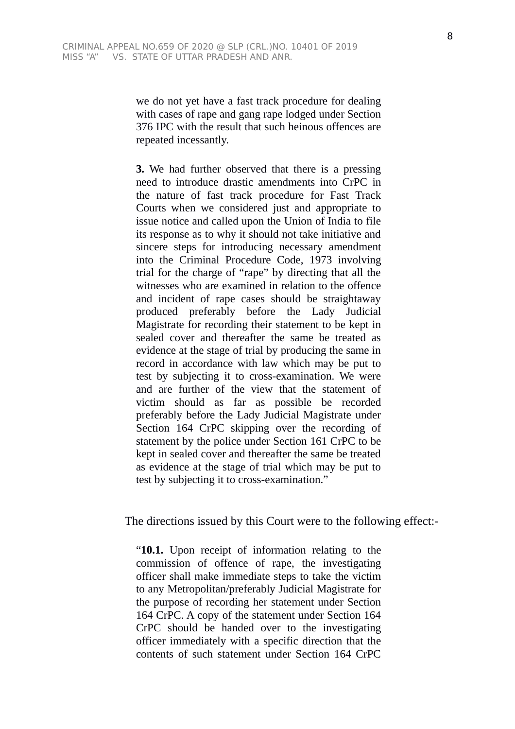we do not yet have a fast track procedure for dealing with cases of rape and gang rape lodged under Section 376 IPC with the result that such heinous offences are repeated incessantly.

**3.** We had further observed that there is a pressing need to introduce drastic amendments into CrPC in the nature of fast track procedure for Fast Track Courts when we considered just and appropriate to issue notice and called upon the Union of India to file its response as to why it should not take initiative and sincere steps for introducing necessary amendment into the Criminal Procedure Code, 1973 involving trial for the charge of "rape" by directing that all the witnesses who are examined in relation to the offence and incident of rape cases should be straightaway produced preferably before the Lady Judicial Magistrate for recording their statement to be kept in sealed cover and thereafter the same be treated as evidence at the stage of trial by producing the same in record in accordance with law which may be put to test by subjecting it to cross-examination. We were and are further of the view that the statement of victim should as far as possible be recorded preferably before the Lady Judicial Magistrate under Section 164 CrPC skipping over the recording of statement by the police under Section 161 CrPC to be kept in sealed cover and thereafter the same be treated as evidence at the stage of trial which may be put to test by subjecting it to cross-examination."

The directions issued by this Court were to the following effect:-

"**10.1.** Upon receipt of information relating to the commission of offence of rape, the investigating officer shall make immediate steps to take the victim to any Metropolitan/preferably Judicial Magistrate for the purpose of recording her statement under Section 164 CrPC. A copy of the statement under Section 164 CrPC should be handed over to the investigating officer immediately with a specific direction that the contents of such statement under Section 164 CrPC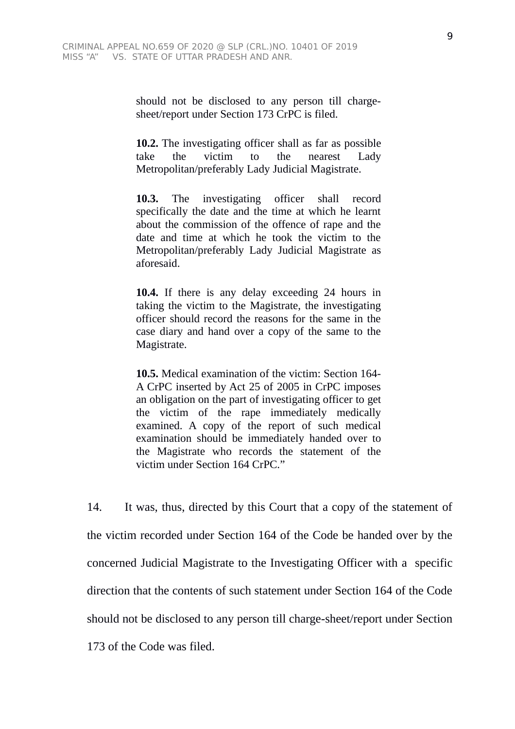should not be disclosed to any person till chargesheet/report under Section 173 CrPC is filed.

**10.2.** The investigating officer shall as far as possible take the victim to the nearest Lady Metropolitan/preferably Lady Judicial Magistrate.

**10.3.** The investigating officer shall record specifically the date and the time at which he learnt about the commission of the offence of rape and the date and time at which he took the victim to the Metropolitan/preferably Lady Judicial Magistrate as aforesaid.

**10.4.** If there is any delay exceeding 24 hours in taking the victim to the Magistrate, the investigating officer should record the reasons for the same in the case diary and hand over a copy of the same to the Magistrate.

**10.5.** Medical examination of the victim: Section 164- A CrPC inserted by Act 25 of 2005 in CrPC imposes an obligation on the part of investigating officer to get the victim of the rape immediately medically examined. A copy of the report of such medical examination should be immediately handed over to the Magistrate who records the statement of the victim under Section 164 CrPC."

14. It was, thus, directed by this Court that a copy of the statement of the victim recorded under Section 164 of the Code be handed over by the concerned Judicial Magistrate to the Investigating Officer with a specific direction that the contents of such statement under Section 164 of the Code should not be disclosed to any person till charge-sheet/report under Section 173 of the Code was filed.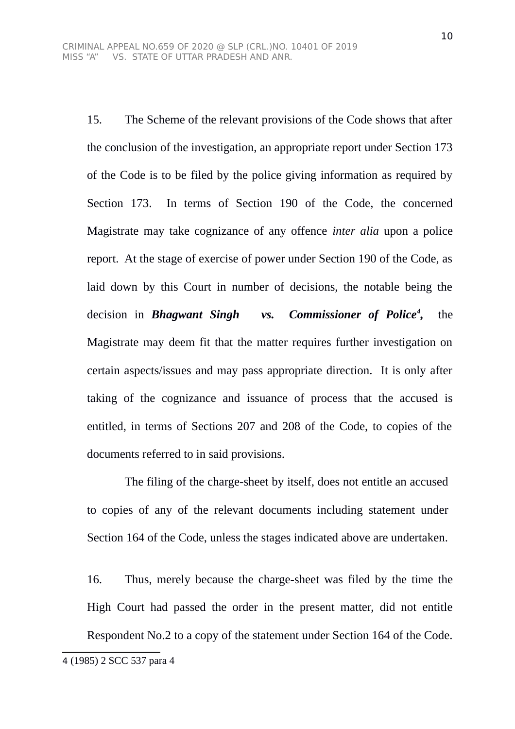15. The Scheme of the relevant provisions of the Code shows that after the conclusion of the investigation, an appropriate report under Section 173 of the Code is to be filed by the police giving information as required by Section 173. In terms of Section 190 of the Code, the concerned Magistrate may take cognizance of any offence *inter alia* upon a police report. At the stage of exercise of power under Section 190 of the Code, as laid down by this Court in number of decisions, the notable being the decision in *Bhagwant Singh vs. Commissioner of Police[4](#page-9-0) ,* the Magistrate may deem fit that the matter requires further investigation on certain aspects/issues and may pass appropriate direction. It is only after taking of the cognizance and issuance of process that the accused is entitled, in terms of Sections 207 and 208 of the Code, to copies of the documents referred to in said provisions.

The filing of the charge-sheet by itself, does not entitle an accused to copies of any of the relevant documents including statement under Section 164 of the Code, unless the stages indicated above are undertaken.

16. Thus, merely because the charge-sheet was filed by the time the High Court had passed the order in the present matter, did not entitle Respondent No.2 to a copy of the statement under Section 164 of the Code.

<span id="page-9-0"></span><sup>4</sup> (1985) 2 SCC 537 para 4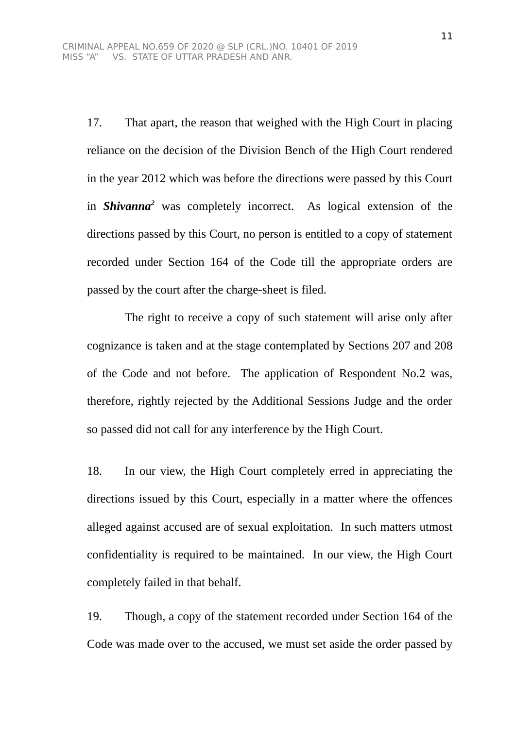17. That apart, the reason that weighed with the High Court in placing reliance on the decision of the Division Bench of the High Court rendered in the year 2012 which was before the directions were passed by this Court in *Shivanna<sup>2</sup>* was completely incorrect. As logical extension of the directions passed by this Court, no person is entitled to a copy of statement recorded under Section 164 of the Code till the appropriate orders are passed by the court after the charge-sheet is filed.

The right to receive a copy of such statement will arise only after cognizance is taken and at the stage contemplated by Sections 207 and 208 of the Code and not before. The application of Respondent No.2 was, therefore, rightly rejected by the Additional Sessions Judge and the order so passed did not call for any interference by the High Court.

18. In our view, the High Court completely erred in appreciating the directions issued by this Court, especially in a matter where the offences alleged against accused are of sexual exploitation. In such matters utmost confidentiality is required to be maintained. In our view, the High Court completely failed in that behalf.

19. Though, a copy of the statement recorded under Section 164 of the Code was made over to the accused, we must set aside the order passed by